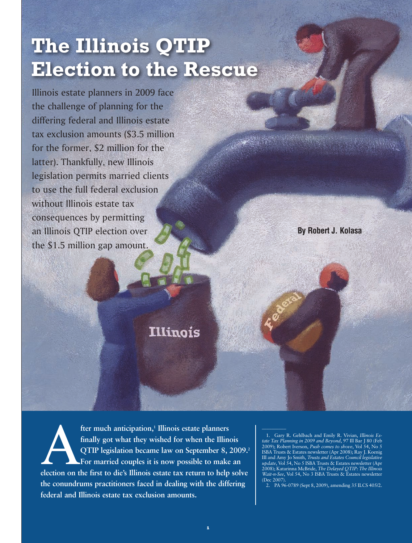# **The Illinois QTIP Election to the Rescue**

Illinois estate planners in 2009 face the challenge of planning for the differing federal and Illinois estate tax exclusion amounts (\$3.5 million for the former, \$2 million for the latter). Thankfully, new Illinois legislation permits married clients to use the full federal exclusion without Illinois estate tax consequences by permitting an Illinois QTIP election over the \$1.5 million gap amount.

**By Robert J. Kolasa**

# **Illinois**

**fter much anticipation,<sup>1</sup> Illinois estate planners<br>finally got what they wished for when the Illinois<br>QTIP legislation became law on September 8, 2009.<sup>2</sup><br>For married couples it is now possible to make an<br>election on the** fter much anticipation,<sup>1</sup> Illinois estate planners **finally got what they wished for when the Illinois QTIP legislation became law on September 8, 2009.2 For married couples it is now possible to make an the conundrums practitioners faced in dealing with the differing federal and Illinois estate tax exclusion amounts.**

1. Gary R. Gehlbach and Emily R. Vivian, *Illinois Estate Tax Planning in 2009 and Beyond*, 97 Ill Bar J 80 (Feb 2009); Robert Iverson, *Push comes to shove*, Vol 54, No 5 ISBA Trusts & Estates newsletter (Apr 2008); Ray J. Koenig III and Amy Jo Smith, *Trusts and Estates Council legislative update*, Vol 54, No 5 ISBA Trusts & Estates newsletter (Apr 2008); Katarinna McBride, *The Delayed QTIP: The Illinois Wait-n-See*, Vol 54, No 3 ISBA Trusts & Estates newsletter (Dec 2007)

2. PA 96-0789 (Sept 8, 2009), amending 35 ILCS 405/2.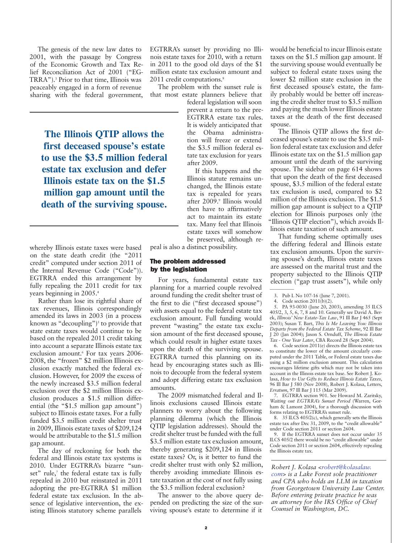The genesis of the new law dates to 2001, with the passage by Congress of the Economic Growth and Tax Relief Reconciliation Act of 2001 ("EG-TRRA").3 Prior to that time, Illinois was peaceably engaged in a form of revenue sharing with the federal government,

> **The Illinois QTIP allows the first deceased spouse's estate to use the \$3.5 million federal estate tax exclusion and defer Illinois estate tax on the \$1.5 million gap amount until the death of the surviving spouse.**

whereby Illinois estate taxes were based on the state death credit (the "2011 credit" computed under section 2011 of the Internal Revenue Code ("Code")). EGTRRA ended this arrangement by fully repealing the 2011 credit for tax years beginning in 2005.4

Rather than lose its rightful share of tax revenues, Illinois correspondingly amended its laws in 2003 (in a process known as "decoupling")<sup>5</sup> to provide that state estate taxes would continue to be based on the repealed 2011 credit taking into account a separate Illinois estate tax exclusion amount.<sup>6</sup> For tax years 2006-2008, the "frozen" \$2 million Illinois exclusion exactly matched the federal exclusion. However, for 2009 the excess of the newly increased \$3.5 million federal exclusion over the \$2 million Illinois exclusion produces a \$1.5 million differential (the "\$1.5 million gap amount") subject to Illinois estate taxes. For a fully funded \$3.5 million credit shelter trust in 2009, Illinois estate taxes of \$209,124 would be attributable to the \$1.5 million gap amount.

The day of reckoning for both the federal and Illinois estate tax systems is 2010. Under EGTRRA's bizarre "sunset" rule,7 the federal estate tax is fully repealed in 2010 but reinstated in 2011 adopting the pre-EGTRRA \$1 million federal estate tax exclusion. In the absence of legislative intervention, the existing Illinois statutory scheme parallels

EGTRRA's sunset by providing no Illinois estate taxes for 2010, with a return in 2011 to the good old days of the \$1 million estate tax exclusion amount and 2011 credit computations.<sup>8</sup>

The problem with the sunset rule is that most estate planners believe that

federal legislation will soon prevent a return to the pre-EGTRRA estate tax rules. It is widely anticipated that the Obama administration will freeze or extend the \$3.5 million federal estate tax exclusion for years after 2009.

If this happens and the Illinois statute remains unchanged, the Illinois estate tax is repealed for years after 2009.<sup>9</sup> Illinois would then have to affirmatively act to maintain its estate tax. Many feel that Illinois estate taxes will somehow be preserved, although re-

peal is also a distinct possibility.

#### The problem addressed by the legislation

For years, fundamental estate tax planning for a married couple revolved around funding the credit shelter trust of the first to die ("first deceased spouse") with assets equal to the federal estate tax exclusion amount. Full funding would prevent "wasting" the estate tax exclusion amount of the first deceased spouse, which could result in higher estate taxes upon the death of the surviving spouse. EGTRRA turned this planning on its head by encouraging states such as Illinois to decouple from the federal system and adopt differing estate tax exclusion amounts.

The 2009 mismatched federal and Illinois exclusions caused Illinois estate planners to worry about the following planning dilemma (which the Illinois QTIP legislation addresses). Should the credit shelter trust be funded with the full \$3.5 million estate tax exclusion amount, thereby generating \$209,124 in Illinois estate taxes? Or, is it better to fund the credit shelter trust with only \$2 million, thereby avoiding immediate Illinois estate taxation at the cost of not fully using the \$3.5 million federal exclusion?

The answer to the above query depended on predicting the size of the surviving spouse's estate to determine if it

would be beneficial to incur Illinois estate taxes on the \$1.5 million gap amount. If the surviving spouse would eventually be subject to federal estate taxes using the lower \$2 million state exclusion in the first deceased spouse's estate, the family probably would be better off increasing the credit shelter trust to \$3.5 million and paying the much lower Illinois estate taxes at the death of the first deceased spouse.

The Illinois QTIP allows the first deceased spouse's estate to use the \$3.5 million federal estate tax exclusion and defer Illinois estate tax on the \$1.5 million gap amount until the death of the surviving spouse. The sidebar on page 614 shows that upon the death of the first deceased spouse, \$3.5 million of the federal estate tax exclusion is used, compared to \$2 million of the Illinois exclusion. The \$1.5 million gap amount is subject to a QTIP election for Illinois purposes only (the "Illinois QTIP election"), which avoids Illinois estate taxation of such amount.

That funding scheme optimally uses the differing federal and Illinois estate tax exclusion amounts. Upon the surviving spouse's death, Illinois estate taxes are assessed on the marital trust and the property subjected to the Illinois QTIP election ("gap trust assets"), while only

4. Code section 2011(b)(2).

 $\overline{\phantom{a}}$ 

5. PA 93-0030 (June 20, 2003), amending 35 ILCS 405/2, 3, 5, 6, 7, 8 and 10. Generally see David A. Berek, *Illinois' New Estate-Tax Law*, 91 Ill Bar J 465 (Sept 2003); Susan T. Bart, *This Is Me Leaving You: Illinois Departs from the Federal Estate Tax Scheme*, 92 Ill Bar J 20 (Jan 2004); Jason S. Ornduff, *The Illinois Estate Tax - One Year Later*, CBA Record 28 (Sept 2004).

6. Code section 2011(e) directs the Illinois estate tax to constitute the lower of the amount circularly computed under the 2011 Table, or Federal estate taxes due using a \$2 million exclusion amount. This calculation encourages lifetime gifts which may not be taken into account in the Illinois estate tax base. See Robert J. Kolasa, *How to Use Gifts to Reduce Illinois Estate Taxes*, 96 Ill Bar J 580 (Nov 2008), Robert J. Kolasa, Letters, *Erratum*, 97 Ill Bar J 115 (Mar 2009).

7. EGTRRA section 901. See Howard M. Zaritsky, *Waiting out EGTRRA's Sunset Period* (Warren, Gorham  $\&$  Lamont 2004), for a thorough discussion with forms relating to EGTRRA's sunset rule.

8. 35 ILCS 405/2(c), which generally sets the Illinois estate tax after Dec 31, 2009, to the "credit allowable" under Code section 2011 or section 2604.

If the EGTRRA sunset does not occur under 35 ILCS 405/2 there would be no "credit allowable" under Code section 2011 or section 2604, effectively repealing the Illinois estate tax.

*Robert J. Kolasa <robert@kolasalaw. com> is a Lake Forest sole practitioner and CPA who holds an LLM in taxation from Georgetown University Law Center. Before entering private practice he was an attorney for the IRS Office of Chief Counsel in Washington, DC.*

<sup>3.</sup> Pub L No 107-16 (June 7, 2001).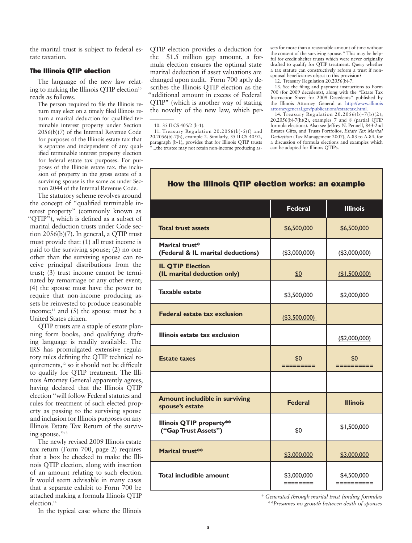the marital trust is subject to federal estate taxation.

# The Illinois QTIP election

The language of the new law relating to making the Illinois QTIP election<sup>10</sup> reads as follows.

The person required to file the Illinois return may elect on a timely filed Illinois return a marital deduction for qualified terminable interest property under Section 2056(b)(7) of the Internal Revenue Code for purposes of the Illinois estate tax that is separate and independent of any qualified terminable interest property election for federal estate tax purposes. For purposes of the Illinois estate tax, the inclusion of property in the gross estate of a surviving spouse is the same as under Section 2044 of the Internal Revenue Code.

The statutory scheme revolves around the concept of "qualified terminable interest property" (commonly known as "QTIP"), which is defined as a subset of marital deduction trusts under Code section 2056(b)(7). In general, a QTIP trust must provide that: (1) all trust income is paid to the surviving spouse; (2) no one other than the surviving spouse can receive principal distributions from the trust; (3) trust income cannot be terminated by remarriage or any other event; (4) the spouse must have the power to require that non-income producing assets be reinvested to produce reasonable income; $11$  and (5) the spouse must be a United States citizen.

QTIP trusts are a staple of estate planning form books, and qualifying drafting language is readily available. The IRS has promulgated extensive regulatory rules defining the QTIP technical requirements,<sup>12</sup> so it should not be difficult to qualify for QTIP treatment. The Illinois Attorney General apparently agrees, having declared that the Illinois QTIP election "will follow Federal statutes and rules for treatment of such elected property as passing to the surviving spouse and inclusion for Illinois purposes on any Illinois Estate Tax Return of the surviving spouse."<sup>13</sup>

The newly revised 2009 Illinois estate tax return (Form 700, page 2) requires that a box be checked to make the Illinois QTIP election, along with insertion of an amount relating to such election. It would seem advisable in many cases that a separate exhibit to Form 700 be attached making a formula Illinois QTIP election.14

In the typical case where the Illinois

QTIP election provides a deduction for the \$1.5 million gap amount, a formula election ensures the optimal state marital deduction if asset valuations are changed upon audit. Form 700 aptly describes the Illinois QTIP election as the "additional amount in excess of Federal QTIP" (which is another way of stating the novelty of the new law, which per-

 $\overline{\phantom{a}}$ 

11. Treasury Regulation 20.2056(b)-5(f) and 20.2056(b)-7(h), example 2. Similarly, 35 ILCS 405/2, paragraph (b-1), provides that for Illinois QTIP trusts ...the trustee may not retain non-income producing as-

sets for more than a reasonable amount of time without the consent of the surviving spouse." This may be helpful for credit shelter trusts which were never originally drafted to qualify for QTIP treatment. Query whether a tax statute can constructively reform a trust if nonspousal beneficiaries object to this provision?

12. Treasury Regulation 20.2056(b)-7.

13. See the filing and payment instructions to Form 700 (for 2009 decedents), along with the "Estate Tax Instruction Sheet for 2009 Decedents" published by the Illinois Attorney General at http://www.illinois attorneygeneral.gov/publications/estatetax.html.

14. Treasury Regulation 20.2056(b)-7(b)(2); 20.2056(b)-7(h)(2), examples 7 and 8 (partial QTIP formula elections). Also see Jeffrey N. Pennell, 843-2nd Estates Gifts, and Trusts Portfolios, *Estate Tax Marital Deduction* (Tax Management 2007), A-83 to A-84, for a discussion of formula elections and examples which can be adapted for Illinois QTIPs.

|                                                          | <b>Federal</b>          | <b>Illinois</b>           |
|----------------------------------------------------------|-------------------------|---------------------------|
| <b>Total trust assets</b>                                | \$6,500,000             | \$6,500,000               |
| Marital trust*<br>(Federal & IL marital deductions)      | (\$3,000,000)           | (\$3,000,000)             |
| <b>IL QTIP Election</b><br>(IL marital deduction only)   | \$0                     | (I, 500, 000)             |
| <b>Taxable estate</b>                                    | \$3,500,000             | \$2,000,000               |
| <b>Federal estate tax exclusion</b>                      | (\$3,500,000)           |                           |
| Illinois estate tax exclusion                            |                         | ( \$2,000,000)            |
| <b>Estate taxes</b>                                      | \$0<br>=========        | \$0<br>==========         |
|                                                          |                         |                           |
| <b>Amount includible in surviving</b><br>spouse's estate | <b>Federal</b>          | <b>Illinois</b>           |
| <b>Illinois QTIP property**</b><br>("Gap Trust Assets")  | \$0                     | \$1,500,000               |
| Marital trust**                                          | \$3,000,000             | \$3,000,000               |
| Total includible amount                                  | \$3,000,000<br>======== | \$4,500,000<br>========== |

# How the Illinois QTIP election works: an example

 *\* Generated through marital trust funding formulas \*\*Presumes no growth between death of spouses*

<sup>10. 35</sup> ILCS 405/2 (b-1).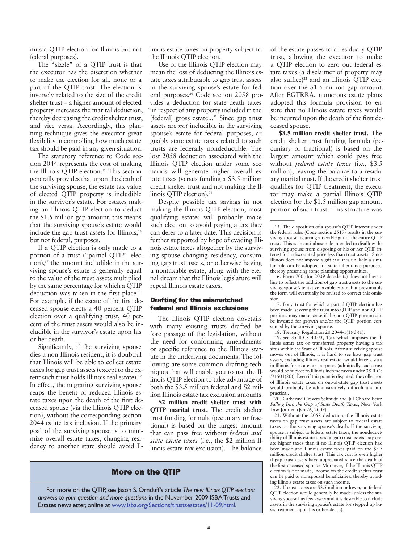mits a QTIP election for Illinois but not federal purposes).

The "sizzle" of a QTIP trust is that the executor has the discretion whether to make the election for all, none or a part of the QTIP trust. The election is inversely related to the size of the credit shelter trust – a higher amount of elected property increases the marital deduction, thereby decreasing the credit shelter trust, and vice versa. Accordingly, this planning technique gives the executor great flexibility in controlling how much estate tax should be paid in any given situation.

The statutory reference to Code section 2044 represents the cost of making the Illinois QTIP election.<sup>15</sup> This section generally provides that upon the death of the surviving spouse, the estate tax value of elected QTIP property is includible in the survivor's estate. For estates making an Illinois QTIP election to deduct the \$1.5 million gap amount, this means that the surviving spouse's estate would include the gap trust assets for Illinois,<sup>16</sup> but not federal, purposes.

If a QTIP election is only made to a portion of a trust ("partial QTIP" election), $17$  the amount includible in the surviving spouse's estate is generally equal to the value of the trust assets multiplied by the same percentage for which a QTIP deduction was taken in the first place.<sup>18</sup> For example, if the estate of the first deceased spouse elects a 40 percent QTIP election over a qualifying trust, 40 percent of the trust assets would also be includible in the survivor's estate upon his or her death.

Significantly, if the surviving spouse dies a non-Illinois resident, it is doubtful that Illinois will be able to collect estate taxes for gap trust assets (except to the extent such trust holds Illinois real estate).19 In effect, the migrating surviving spouse reaps the benefit of reduced Illinois estate taxes upon the death of the first deceased spouse (via the Illinois QTIP election), without the corresponding section 2044 estate tax inclusion. If the primary goal of the surviving spouse is to minimize overall estate taxes, changing residency to another state should avoid Illinois estate taxes on property subject to the Illinois QTIP election.

Use of the Illinois QTIP election may mean the loss of deducting the Illinois estate taxes attributable to gap trust assets in the surviving spouse's estate for federal purposes.20 Code section 2058 provides a deduction for state death taxes "in respect of any property included in the [federal] gross estate..." Since gap trust assets are *not* includible in the surviving spouse's estate for federal purposes, arguably state estate taxes related to such trusts are federally nondeductible. The lost 2058 deduction associated with the Illinois QTIP election under some scenarios will generate higher overall estate taxes (versus funding a \$3.5 million credit shelter trust and not making the Illinois QTIP election).<sup>21</sup>

Despite possible tax savings in not making the Illinois QTIP election, most qualifying estates will probably make such election to avoid paying a tax they can defer to a later date. This decision is further supported by hope of evading Illinois estate taxes altogether by the surviving spouse changing residency, consuming gap trust assets, or otherwise having a nontaxable estate, along with the eternal dream that the Illinois legislature will repeal Illinois estate taxes.

### Drafting for the mismatched federal and Illinois exclusions

The Illinois QTIP election dovetails with many existing trusts drafted before passage of the legislation, without the need for conforming amendments or specific reference to the Illinois statute in the underlying documents. The following are some common drafting techniques that will enable you to use the Illinois QTIP election to take advantage of both the \$3.5 million federal and \$2 million Illinois estate tax exclusion amounts.

**\$2 million credit shelter trust with QTIP marital trust.** The credit shelter trust funding formula (pecuniary or fractional) is based on the largest amount that can pass free without *federal and state estate taxes* (i.e., the \$2 million Illinois estate tax exclusion). The balance

# More on the QTIP

For more on the QTIP, see Jason S. Ornduff's article *The new Illinois QTIP election: answers to your question and more questions* in the November 2009 ISBA Trusts and Estates newsletter, online at www.isba.org/Sections/trustsestates/11-09.html.

of the estate passes to a residuary QTIP trust, allowing the executor to make a QTIP election to zero out federal estate taxes (a disclaimer of property may also suffice) $22$  and an Illinois QTIP election over the \$1.5 million gap amount. After EGTRRA, numerous estate plans adopted this formula provision to ensure that no Illinois estate taxes would be incurred upon the death of the first deceased spouse.

**\$3.5 million credit shelter trust.** The credit shelter trust funding formula (pecuniary or fractional) is based on the largest amount which could pass free without *federal estate taxes* (i.e., \$3.5 million), leaving the balance to a residuary marital trust. If the credit shelter trust qualifies for QTIP treatment, the executor may make a partial Illinois QTIP election for the \$1.5 million gap amount portion of such trust. This structure was

 $\overline{\phantom{a}}$ 

16. Form 700 (for 2009 decedents) does not have a line to reflect the addition of gap trust assets to the surviving spouse's tentative taxable estate, but presumably the form will eventually be revised to correct this omission.

17. For a trust for which a partial QTIP election has been made, severing the trust into QTIP and non-QTIP portions may make sense if the non-QTIP portion can be invested for growth and/or the QTIP portion consumed by the surviving spouse.

18. Treasury Regulation 20.2044-1(1)(d)(1).

19. See 35 ILCS 405/3, 1(a), which imposes the Illinois estate tax on transferred property having a tax situs within the State of Illinois. After a surviving spouse moves out of Illinois, it is hard to see how gap trust assets, excluding Illinois real estate, would have a situs in Illinois for estate tax purposes (admittedly, such trust would be subject to Illinois income taxes under 35 ILCS 5/1501(20)). Even if this point is disputed, the collection of Illinois estate taxes on out-of-state gap trust assets would probably be administratively difficult and impractical.

20. Catherine Grevers Schmidt and Jill Choate Beier, *Falling Into the Gap of State Death Taxes*, New York Law Journal (Jan 26, 2009).

21. Without the 2058 deduction, the Illinois estate taxes on gap trust assets are subject to federal estate taxes on the surviving spouse's death. If the surviving spouse is subject to federal estate taxes, the nondeductibility of Illinois estate taxes on gap trust assets may create higher taxes than if no Illinois QTIP election had been made and Illinois estate taxes paid on the \$3.5 million credit shelter trust. This tax cost is even higher if gap trust assets have appreciated since the death of the first deceased spouse. Moreover, if the Illinois QTIP election is not made, income on the credit shelter trust can be paid to nonspousal beneficiaries, thereby avoiding Illinois estate taxes on such income.

22. If trust assets are \$3.5 million or lower, no federal QTIP election would generally be made (unless the surviving spouse has few assets and it is desirable to include assets in the surviving spouse's estate for stepped up basis treatment upon his or her death).

<sup>15.</sup> The disposition of a spouse's QTIP interest under the federal rules (Code section 2519) results in the surviving spouse incurring a taxable gift of the entire QTIP trust. This is an anti-abuse rule intended to disallow the surviving spouse from disposing of his or her QTIP interest for a discounted price less than trust assets. Since Illinois does not impose a gift tax, it is unlikely a similar rule can be adopted for state inheritance purposes, thereby presenting some planning opportunities.